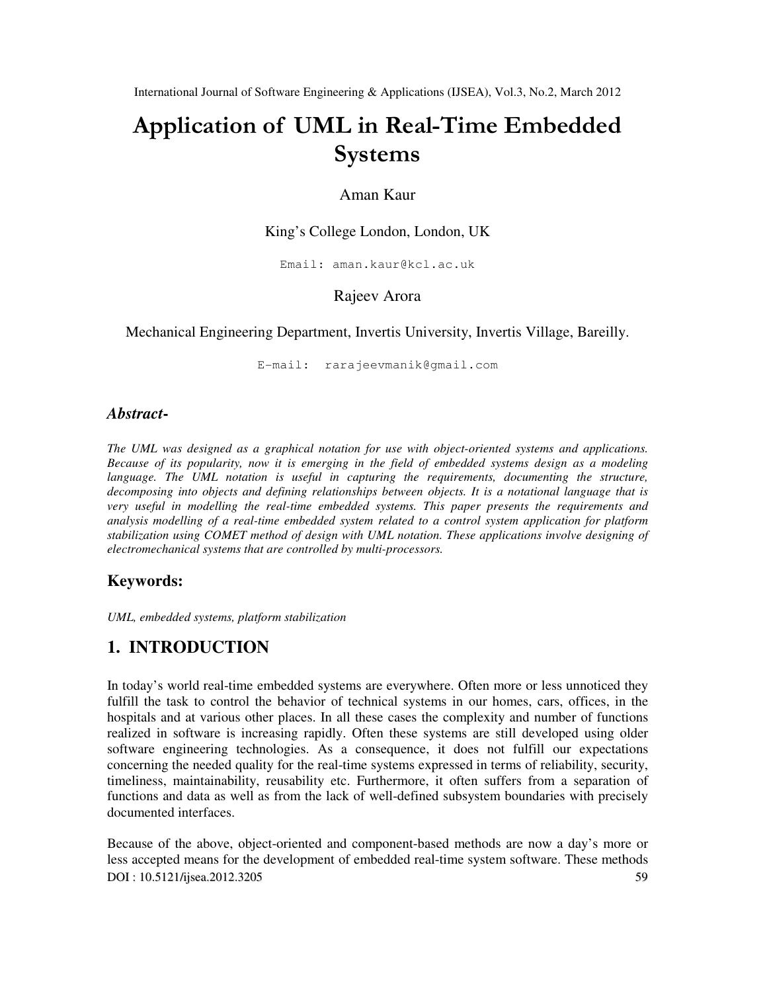# Application of UML in Real-Time Embedded Systems

### Aman Kaur

### King's College London, London, UK

Email: aman.kaur@kcl.ac.uk

### Rajeev Arora

Mechanical Engineering Department, Invertis University, Invertis Village, Bareilly.

E-mail: rarajeevmanik@gmail.com

### *Abstract***-**

*The UML was designed as a graphical notation for use with object-oriented systems and applications. Because of its popularity, now it is emerging in the field of embedded systems design as a modeling*  language. The UML notation is useful in capturing the requirements, documenting the structure, *decomposing into objects and defining relationships between objects. It is a notational language that is very useful in modelling the real-time embedded systems. This paper presents the requirements and analysis modelling of a real-time embedded system related to a control system application for platform stabilization using COMET method of design with UML notation. These applications involve designing of electromechanical systems that are controlled by multi-processors.* 

### **Keywords:**

*UML, embedded systems, platform stabilization*

# **1. INTRODUCTION**

In today's world real-time embedded systems are everywhere. Often more or less unnoticed they fulfill the task to control the behavior of technical systems in our homes, cars, offices, in the hospitals and at various other places. In all these cases the complexity and number of functions realized in software is increasing rapidly. Often these systems are still developed using older software engineering technologies. As a consequence, it does not fulfill our expectations concerning the needed quality for the real-time systems expressed in terms of reliability, security, timeliness, maintainability, reusability etc. Furthermore, it often suffers from a separation of functions and data as well as from the lack of well-defined subsystem boundaries with precisely documented interfaces.

DOI : 10.5121/ijsea.2012.3205 59 Because of the above, object-oriented and component-based methods are now a day's more or less accepted means for the development of embedded real-time system software. These methods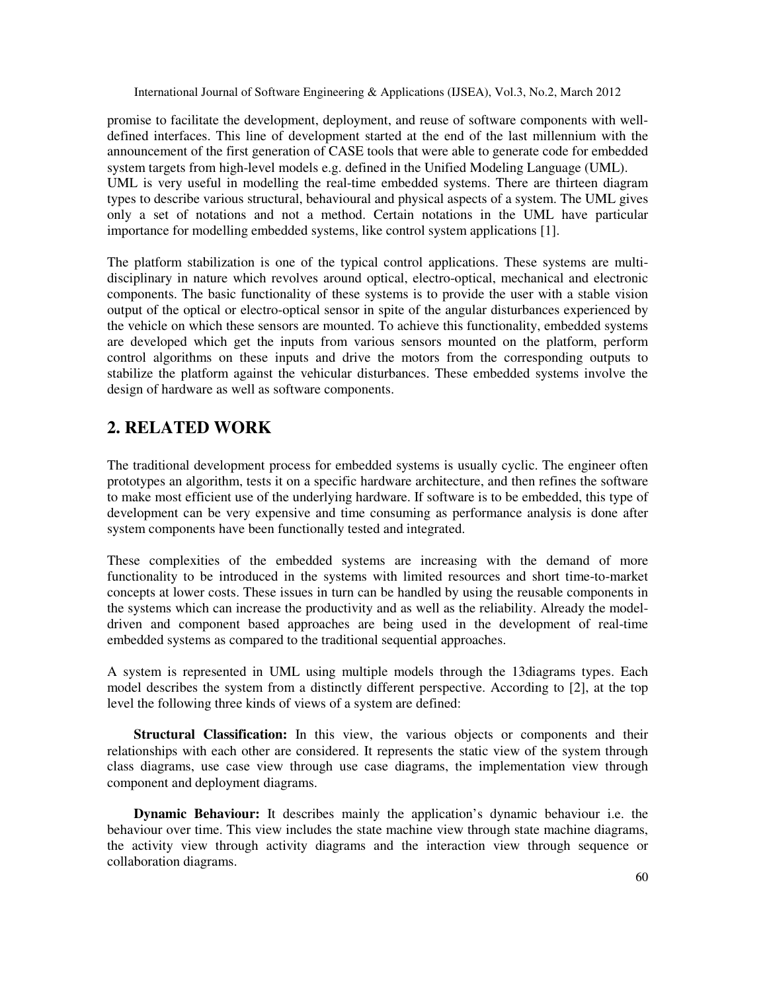promise to facilitate the development, deployment, and reuse of software components with welldefined interfaces. This line of development started at the end of the last millennium with the announcement of the first generation of CASE tools that were able to generate code for embedded system targets from high-level models e.g. defined in the Unified Modeling Language (UML). UML is very useful in modelling the real-time embedded systems. There are thirteen diagram types to describe various structural, behavioural and physical aspects of a system. The UML gives only a set of notations and not a method. Certain notations in the UML have particular importance for modelling embedded systems, like control system applications [1].

The platform stabilization is one of the typical control applications. These systems are multidisciplinary in nature which revolves around optical, electro-optical, mechanical and electronic components. The basic functionality of these systems is to provide the user with a stable vision output of the optical or electro-optical sensor in spite of the angular disturbances experienced by the vehicle on which these sensors are mounted. To achieve this functionality, embedded systems are developed which get the inputs from various sensors mounted on the platform, perform control algorithms on these inputs and drive the motors from the corresponding outputs to stabilize the platform against the vehicular disturbances. These embedded systems involve the design of hardware as well as software components.

# **2. RELATED WORK**

The traditional development process for embedded systems is usually cyclic. The engineer often prototypes an algorithm, tests it on a specific hardware architecture, and then refines the software to make most efficient use of the underlying hardware. If software is to be embedded, this type of development can be very expensive and time consuming as performance analysis is done after system components have been functionally tested and integrated.

These complexities of the embedded systems are increasing with the demand of more functionality to be introduced in the systems with limited resources and short time-to-market concepts at lower costs. These issues in turn can be handled by using the reusable components in the systems which can increase the productivity and as well as the reliability. Already the modeldriven and component based approaches are being used in the development of real-time embedded systems as compared to the traditional sequential approaches.

A system is represented in UML using multiple models through the 13diagrams types. Each model describes the system from a distinctly different perspective. According to [2], at the top level the following three kinds of views of a system are defined:

**Structural Classification:** In this view, the various objects or components and their relationships with each other are considered. It represents the static view of the system through class diagrams, use case view through use case diagrams, the implementation view through component and deployment diagrams.

**Dynamic Behaviour:** It describes mainly the application's dynamic behaviour i.e. the behaviour over time. This view includes the state machine view through state machine diagrams, the activity view through activity diagrams and the interaction view through sequence or collaboration diagrams.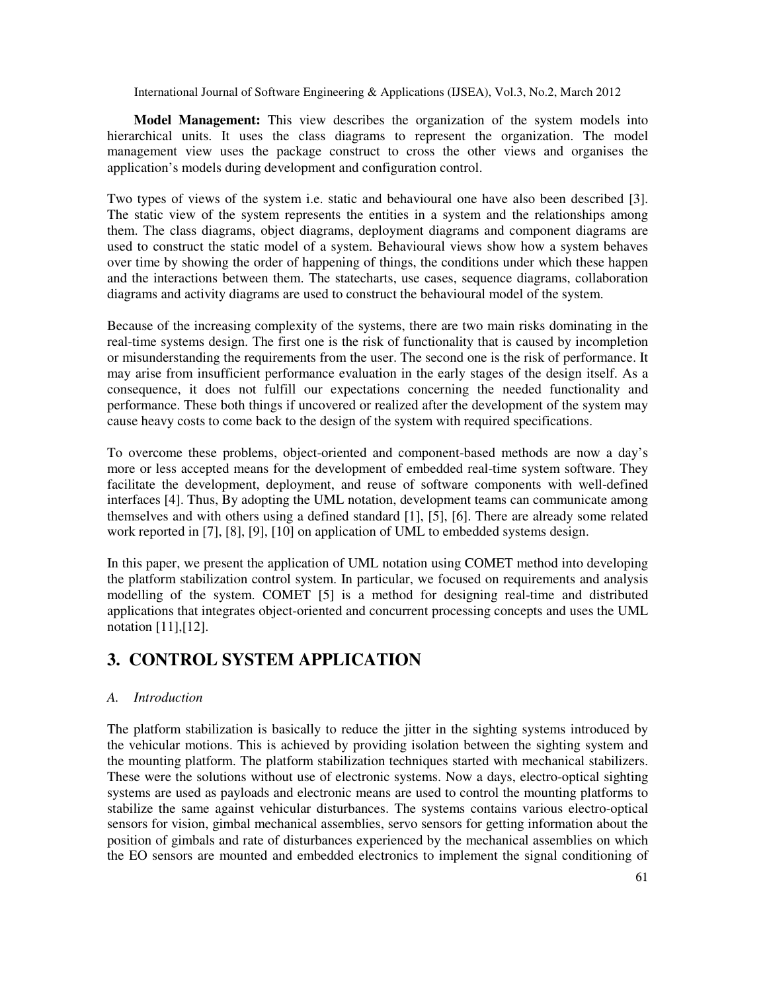**Model Management:** This view describes the organization of the system models into hierarchical units. It uses the class diagrams to represent the organization. The model management view uses the package construct to cross the other views and organises the application's models during development and configuration control.

Two types of views of the system i.e. static and behavioural one have also been described [3]. The static view of the system represents the entities in a system and the relationships among them. The class diagrams, object diagrams, deployment diagrams and component diagrams are used to construct the static model of a system. Behavioural views show how a system behaves over time by showing the order of happening of things, the conditions under which these happen and the interactions between them. The statecharts, use cases, sequence diagrams, collaboration diagrams and activity diagrams are used to construct the behavioural model of the system.

Because of the increasing complexity of the systems, there are two main risks dominating in the real-time systems design. The first one is the risk of functionality that is caused by incompletion or misunderstanding the requirements from the user. The second one is the risk of performance. It may arise from insufficient performance evaluation in the early stages of the design itself. As a consequence, it does not fulfill our expectations concerning the needed functionality and performance. These both things if uncovered or realized after the development of the system may cause heavy costs to come back to the design of the system with required specifications.

To overcome these problems, object-oriented and component-based methods are now a day's more or less accepted means for the development of embedded real-time system software. They facilitate the development, deployment, and reuse of software components with well-defined interfaces [4]. Thus, By adopting the UML notation, development teams can communicate among themselves and with others using a defined standard [1], [5], [6]. There are already some related work reported in [7], [8], [9], [10] on application of UML to embedded systems design.

In this paper, we present the application of UML notation using COMET method into developing the platform stabilization control system. In particular, we focused on requirements and analysis modelling of the system. COMET [5] is a method for designing real-time and distributed applications that integrates object-oriented and concurrent processing concepts and uses the UML notation [11],[12].

# **3. CONTROL SYSTEM APPLICATION**

#### *A. Introduction*

The platform stabilization is basically to reduce the jitter in the sighting systems introduced by the vehicular motions. This is achieved by providing isolation between the sighting system and the mounting platform. The platform stabilization techniques started with mechanical stabilizers. These were the solutions without use of electronic systems. Now a days, electro-optical sighting systems are used as payloads and electronic means are used to control the mounting platforms to stabilize the same against vehicular disturbances. The systems contains various electro-optical sensors for vision, gimbal mechanical assemblies, servo sensors for getting information about the position of gimbals and rate of disturbances experienced by the mechanical assemblies on which the EO sensors are mounted and embedded electronics to implement the signal conditioning of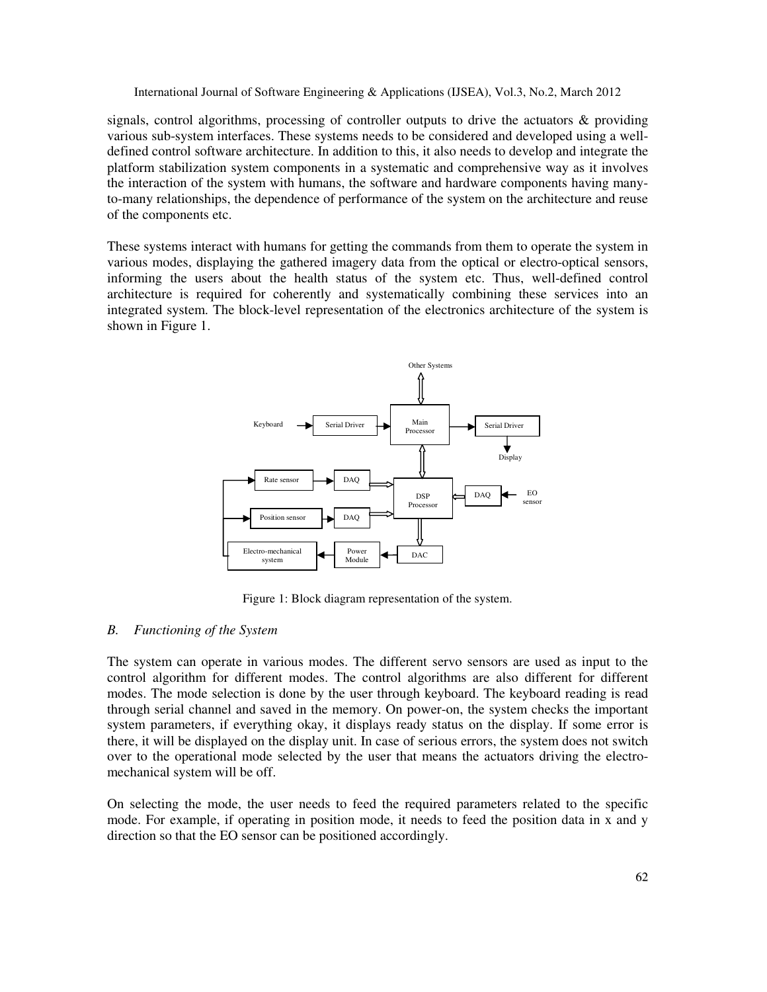signals, control algorithms, processing of controller outputs to drive the actuators & providing various sub-system interfaces. These systems needs to be considered and developed using a welldefined control software architecture. In addition to this, it also needs to develop and integrate the platform stabilization system components in a systematic and comprehensive way as it involves the interaction of the system with humans, the software and hardware components having manyto-many relationships, the dependence of performance of the system on the architecture and reuse of the components etc.

These systems interact with humans for getting the commands from them to operate the system in various modes, displaying the gathered imagery data from the optical or electro-optical sensors, informing the users about the health status of the system etc. Thus, well-defined control architecture is required for coherently and systematically combining these services into an integrated system. The block-level representation of the electronics architecture of the system is shown in Figure 1.



Figure 1: Block diagram representation of the system.

#### *B. Functioning of the System*

The system can operate in various modes. The different servo sensors are used as input to the control algorithm for different modes. The control algorithms are also different for different modes. The mode selection is done by the user through keyboard. The keyboard reading is read through serial channel and saved in the memory. On power-on, the system checks the important system parameters, if everything okay, it displays ready status on the display. If some error is there, it will be displayed on the display unit. In case of serious errors, the system does not switch over to the operational mode selected by the user that means the actuators driving the electromechanical system will be off.

On selecting the mode, the user needs to feed the required parameters related to the specific mode. For example, if operating in position mode, it needs to feed the position data in x and y direction so that the EO sensor can be positioned accordingly.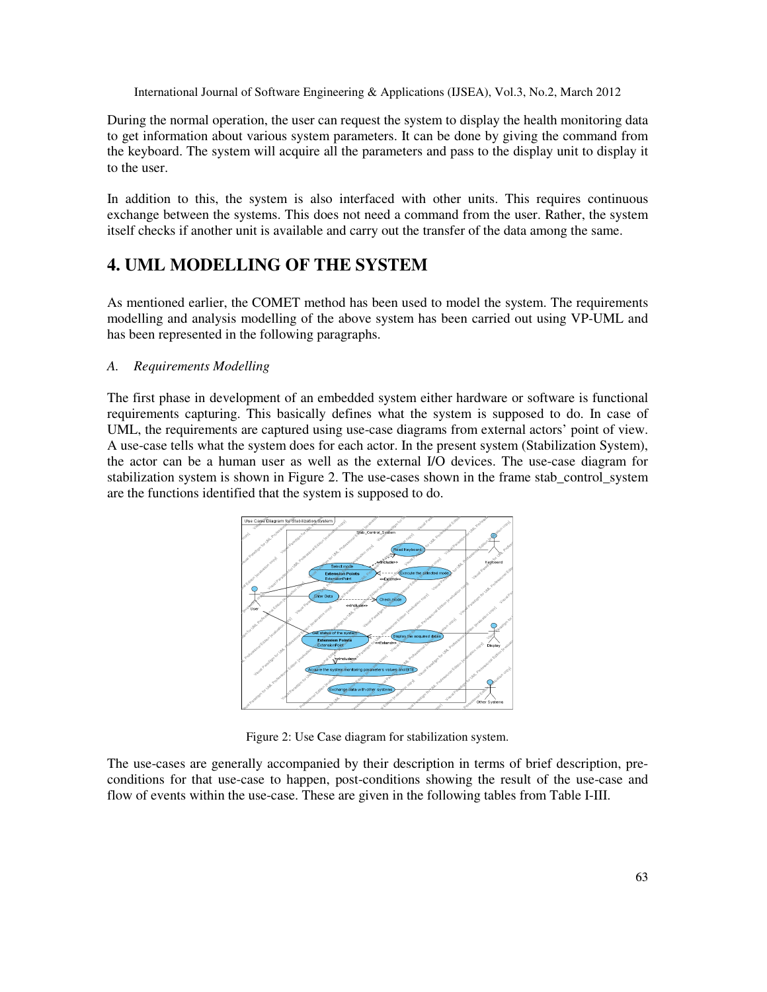During the normal operation, the user can request the system to display the health monitoring data to get information about various system parameters. It can be done by giving the command from the keyboard. The system will acquire all the parameters and pass to the display unit to display it to the user.

In addition to this, the system is also interfaced with other units. This requires continuous exchange between the systems. This does not need a command from the user. Rather, the system itself checks if another unit is available and carry out the transfer of the data among the same.

# **4. UML MODELLING OF THE SYSTEM**

As mentioned earlier, the COMET method has been used to model the system. The requirements modelling and analysis modelling of the above system has been carried out using VP-UML and has been represented in the following paragraphs.

#### *A. Requirements Modelling*

The first phase in development of an embedded system either hardware or software is functional requirements capturing. This basically defines what the system is supposed to do. In case of UML, the requirements are captured using use-case diagrams from external actors' point of view. A use-case tells what the system does for each actor. In the present system (Stabilization System), the actor can be a human user as well as the external I/O devices. The use-case diagram for stabilization system is shown in Figure 2. The use-cases shown in the frame stab\_control\_system are the functions identified that the system is supposed to do.



Figure 2: Use Case diagram for stabilization system.

The use-cases are generally accompanied by their description in terms of brief description, preconditions for that use-case to happen, post-conditions showing the result of the use-case and flow of events within the use-case. These are given in the following tables from Table I-III.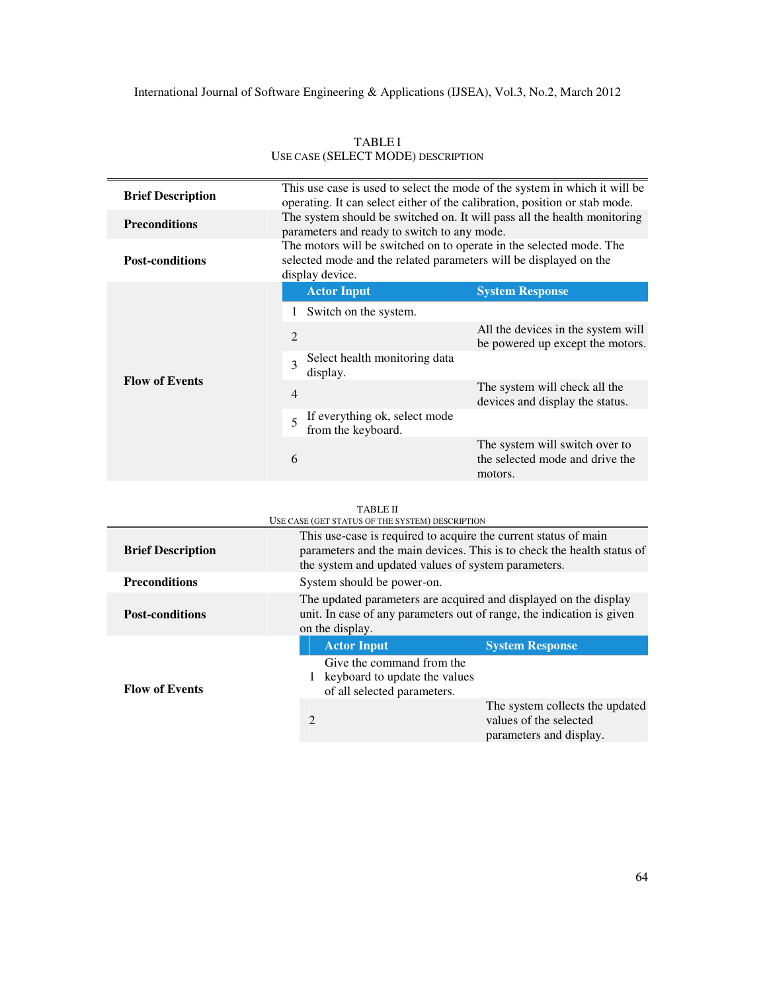| <b>Brief Description</b> | This use case is used to select the mode of the system in which it will be<br>operating. It can select either of the calibration, position or stab mode.    |                                                                              |
|--------------------------|-------------------------------------------------------------------------------------------------------------------------------------------------------------|------------------------------------------------------------------------------|
| <b>Preconditions</b>     | The system should be switched on. It will pass all the health monitoring<br>parameters and ready to switch to any mode.                                     |                                                                              |
| <b>Post-conditions</b>   | The motors will be switched on to operate in the selected mode. The<br>selected mode and the related parameters will be displayed on the<br>display device. |                                                                              |
| <b>Flow of Events</b>    | <b>Actor Input</b>                                                                                                                                          | <b>System Response</b>                                                       |
|                          | Switch on the system.                                                                                                                                       |                                                                              |
|                          | 2                                                                                                                                                           | All the devices in the system will<br>be powered up except the motors.       |
|                          | Select health monitoring data<br>3<br>display.                                                                                                              |                                                                              |
|                          | $\overline{4}$                                                                                                                                              | The system will check all the<br>devices and display the status.             |
|                          | If everything ok, select mode<br>5<br>from the keyboard.                                                                                                    |                                                                              |
|                          | 6                                                                                                                                                           | The system will switch over to<br>the selected mode and drive the<br>motors. |
|                          |                                                                                                                                                             |                                                                              |

TABLE I USE CASE (SELECT MODE) DESCRIPTION

#### TABLE II

 $\overline{\phantom{a}}$ 

| <b>TABLE II</b>                                 |                                                                                                                                                                                                  |                                                                                      |  |
|-------------------------------------------------|--------------------------------------------------------------------------------------------------------------------------------------------------------------------------------------------------|--------------------------------------------------------------------------------------|--|
| USE CASE (GET STATUS OF THE SYSTEM) DESCRIPTION |                                                                                                                                                                                                  |                                                                                      |  |
| <b>Brief Description</b>                        | This use-case is required to acquire the current status of main<br>parameters and the main devices. This is to check the health status of<br>the system and updated values of system parameters. |                                                                                      |  |
| <b>Preconditions</b>                            | System should be power-on.                                                                                                                                                                       |                                                                                      |  |
| <b>Post-conditions</b>                          | The updated parameters are acquired and displayed on the display<br>unit. In case of any parameters out of range, the indication is given<br>on the display.                                     |                                                                                      |  |
|                                                 | <b>Actor Input</b>                                                                                                                                                                               | <b>System Response</b>                                                               |  |
| <b>Flow of Events</b>                           | Give the command from the<br>1 keyboard to update the values<br>of all selected parameters.                                                                                                      |                                                                                      |  |
|                                                 | 2                                                                                                                                                                                                | The system collects the updated<br>values of the selected<br>parameters and display. |  |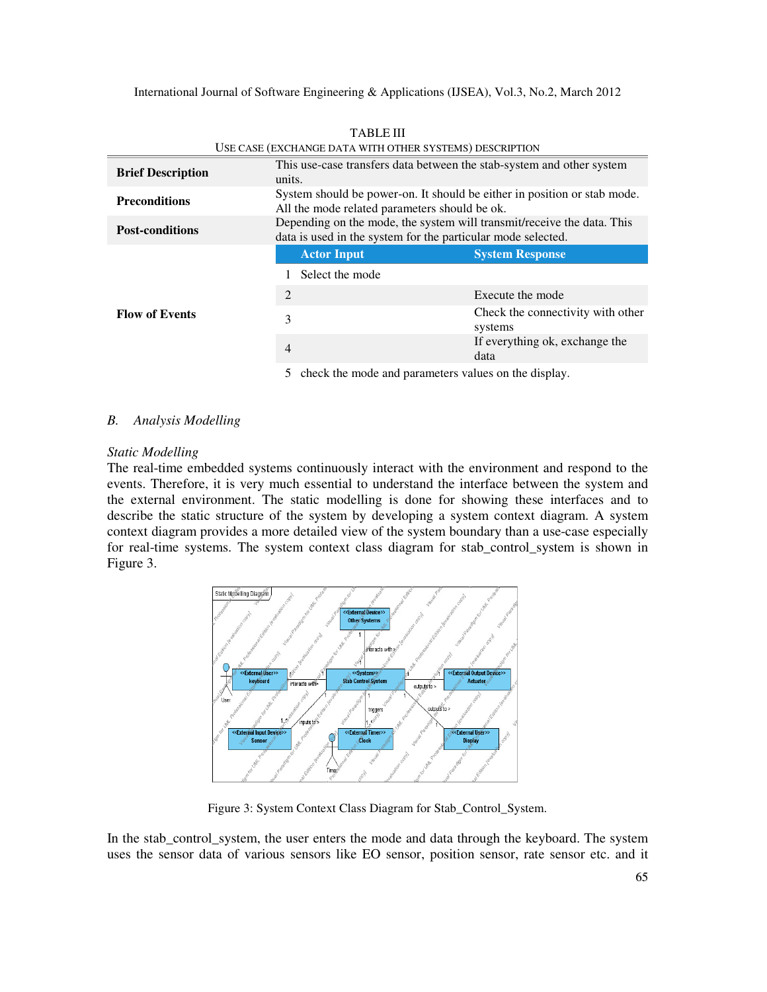| <b>Brief Description</b> | This use-case transfers data between the stab-system and other system<br>units.                                                        |                                              |  |
|--------------------------|----------------------------------------------------------------------------------------------------------------------------------------|----------------------------------------------|--|
| <b>Preconditions</b>     | System should be power-on. It should be either in position or stab mode.<br>All the mode related parameters should be ok.              |                                              |  |
| <b>Post-conditions</b>   | Depending on the mode, the system will transmit/receive the data. This<br>data is used in the system for the particular mode selected. |                                              |  |
| <b>Flow of Events</b>    | <b>Actor Input</b>                                                                                                                     | <b>System Response</b>                       |  |
|                          | Select the mode                                                                                                                        |                                              |  |
|                          | 2                                                                                                                                      | Execute the mode                             |  |
|                          | 3                                                                                                                                      | Check the connectivity with other<br>systems |  |
|                          | $\overline{4}$                                                                                                                         | If everything ok, exchange the<br>data       |  |
|                          |                                                                                                                                        |                                              |  |

TABLE III USE CASE (EXCHANGE DATA WITH OTHER SYSTEMS) DESCRIPTION

5 check the mode and parameters values on the display.

#### *B. Analysis Modelling*

#### *Static Modelling*

The real-time embedded systems continuously interact with the environment and respond to the events. Therefore, it is very much essential to understand the interface between the system and the external environment. The static modelling is done for showing these interfaces and to describe the static structure of the system by developing a system context diagram. A system context diagram provides a more detailed view of the system boundary than a use-case especially for real-time systems. The system context class diagram for stab\_control\_system is shown in Figure 3.



Figure 3: System Context Class Diagram for Stab\_Control\_System.

In the stab\_control\_system, the user enters the mode and data through the keyboard. The system uses the sensor data of various sensors like EO sensor, position sensor, rate sensor etc. and it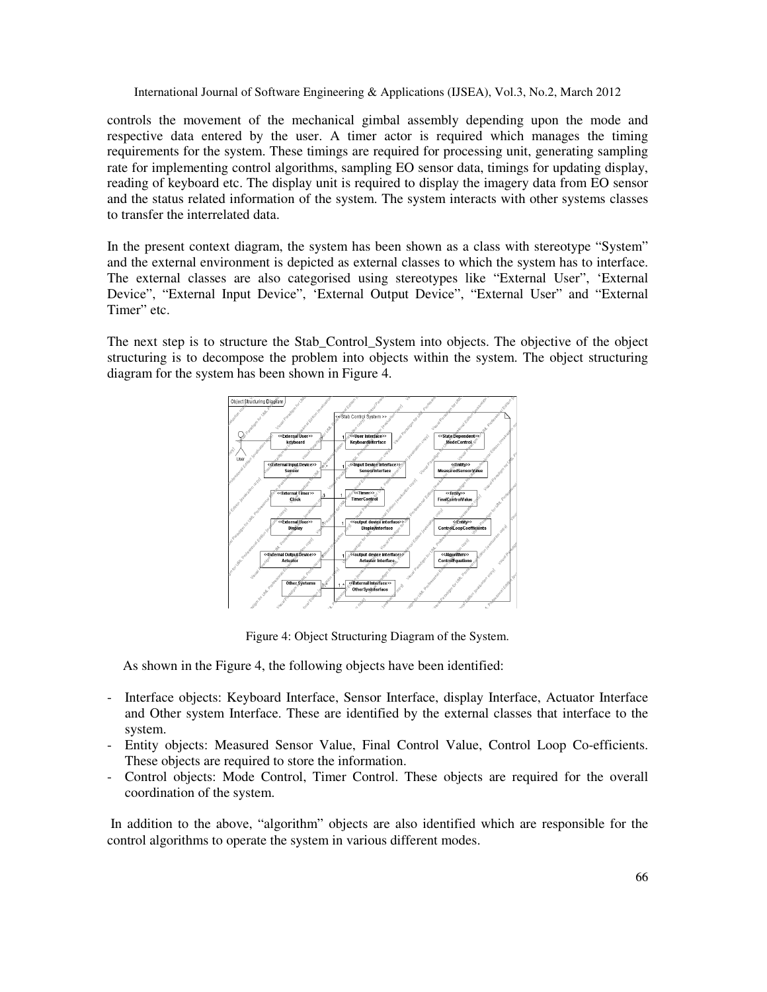controls the movement of the mechanical gimbal assembly depending upon the mode and respective data entered by the user. A timer actor is required which manages the timing requirements for the system. These timings are required for processing unit, generating sampling rate for implementing control algorithms, sampling EO sensor data, timings for updating display, reading of keyboard etc. The display unit is required to display the imagery data from EO sensor and the status related information of the system. The system interacts with other systems classes to transfer the interrelated data.

In the present context diagram, the system has been shown as a class with stereotype "System" and the external environment is depicted as external classes to which the system has to interface. The external classes are also categorised using stereotypes like "External User", 'External Device", "External Input Device", 'External Output Device", "External User" and "External Timer" etc.

The next step is to structure the Stab\_Control\_System into objects. The objective of the object structuring is to decompose the problem into objects within the system. The object structuring diagram for the system has been shown in Figure 4.



Figure 4: Object Structuring Diagram of the System.

As shown in the Figure 4, the following objects have been identified:

- Interface objects: Keyboard Interface, Sensor Interface, display Interface, Actuator Interface and Other system Interface. These are identified by the external classes that interface to the system.
- Entity objects: Measured Sensor Value, Final Control Value, Control Loop Co-efficients. These objects are required to store the information.
- Control objects: Mode Control, Timer Control. These objects are required for the overall coordination of the system.

 In addition to the above, "algorithm" objects are also identified which are responsible for the control algorithms to operate the system in various different modes.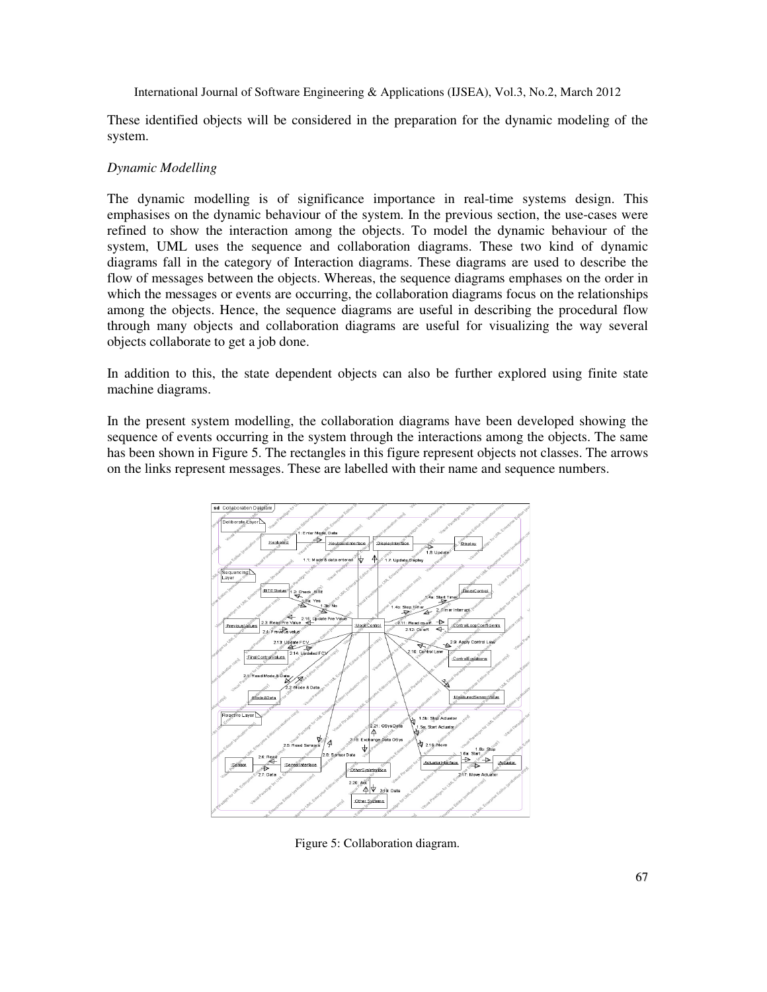These identified objects will be considered in the preparation for the dynamic modeling of the system.

#### *Dynamic Modelling*

The dynamic modelling is of significance importance in real-time systems design. This emphasises on the dynamic behaviour of the system. In the previous section, the use-cases were refined to show the interaction among the objects. To model the dynamic behaviour of the system, UML uses the sequence and collaboration diagrams. These two kind of dynamic diagrams fall in the category of Interaction diagrams. These diagrams are used to describe the flow of messages between the objects. Whereas, the sequence diagrams emphases on the order in which the messages or events are occurring, the collaboration diagrams focus on the relationships among the objects. Hence, the sequence diagrams are useful in describing the procedural flow through many objects and collaboration diagrams are useful for visualizing the way several objects collaborate to get a job done.

In addition to this, the state dependent objects can also be further explored using finite state machine diagrams.

In the present system modelling, the collaboration diagrams have been developed showing the sequence of events occurring in the system through the interactions among the objects. The same has been shown in Figure 5. The rectangles in this figure represent objects not classes. The arrows on the links represent messages. These are labelled with their name and sequence numbers.



Figure 5: Collaboration diagram.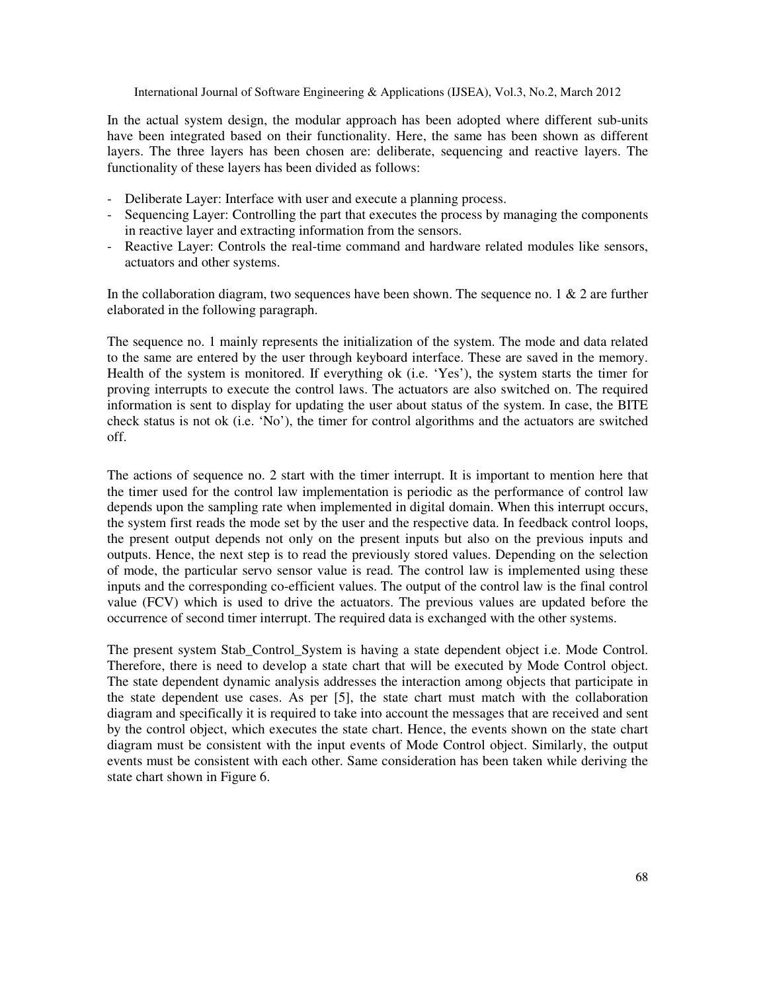In the actual system design, the modular approach has been adopted where different sub-units have been integrated based on their functionality. Here, the same has been shown as different layers. The three layers has been chosen are: deliberate, sequencing and reactive layers. The functionality of these layers has been divided as follows:

- Deliberate Layer: Interface with user and execute a planning process.
- Sequencing Layer: Controlling the part that executes the process by managing the components in reactive layer and extracting information from the sensors.
- Reactive Layer: Controls the real-time command and hardware related modules like sensors, actuators and other systems.

In the collaboration diagram, two sequences have been shown. The sequence no. 1  $\&$  2 are further elaborated in the following paragraph.

The sequence no. 1 mainly represents the initialization of the system. The mode and data related to the same are entered by the user through keyboard interface. These are saved in the memory. Health of the system is monitored. If everything ok (i.e. 'Yes'), the system starts the timer for proving interrupts to execute the control laws. The actuators are also switched on. The required information is sent to display for updating the user about status of the system. In case, the BITE check status is not ok (i.e. 'No'), the timer for control algorithms and the actuators are switched off.

The actions of sequence no. 2 start with the timer interrupt. It is important to mention here that the timer used for the control law implementation is periodic as the performance of control law depends upon the sampling rate when implemented in digital domain. When this interrupt occurs, the system first reads the mode set by the user and the respective data. In feedback control loops, the present output depends not only on the present inputs but also on the previous inputs and outputs. Hence, the next step is to read the previously stored values. Depending on the selection of mode, the particular servo sensor value is read. The control law is implemented using these inputs and the corresponding co-efficient values. The output of the control law is the final control value (FCV) which is used to drive the actuators. The previous values are updated before the occurrence of second timer interrupt. The required data is exchanged with the other systems.

The present system Stab\_Control\_System is having a state dependent object i.e. Mode Control. Therefore, there is need to develop a state chart that will be executed by Mode Control object. The state dependent dynamic analysis addresses the interaction among objects that participate in the state dependent use cases. As per [5], the state chart must match with the collaboration diagram and specifically it is required to take into account the messages that are received and sent by the control object, which executes the state chart. Hence, the events shown on the state chart diagram must be consistent with the input events of Mode Control object. Similarly, the output events must be consistent with each other. Same consideration has been taken while deriving the state chart shown in Figure 6.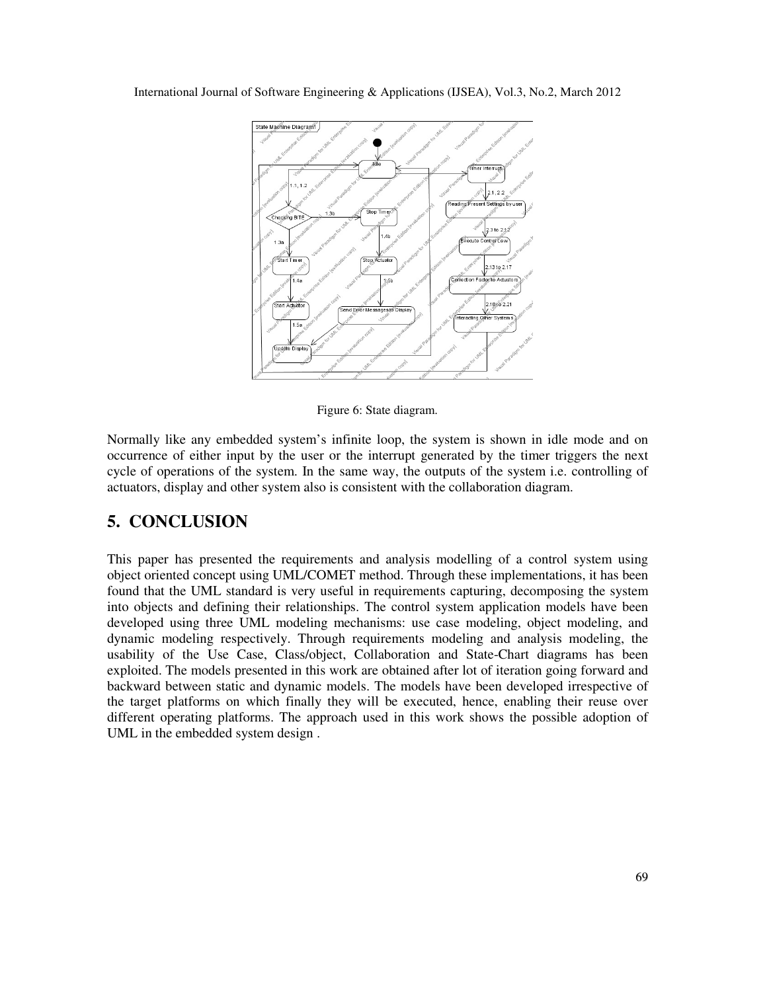

Figure 6: State diagram.

Normally like any embedded system's infinite loop, the system is shown in idle mode and on occurrence of either input by the user or the interrupt generated by the timer triggers the next cycle of operations of the system. In the same way, the outputs of the system i.e. controlling of actuators, display and other system also is consistent with the collaboration diagram.

### **5. CONCLUSION**

This paper has presented the requirements and analysis modelling of a control system using object oriented concept using UML/COMET method. Through these implementations, it has been found that the UML standard is very useful in requirements capturing, decomposing the system into objects and defining their relationships. The control system application models have been developed using three UML modeling mechanisms: use case modeling, object modeling, and dynamic modeling respectively. Through requirements modeling and analysis modeling, the usability of the Use Case, Class/object, Collaboration and State-Chart diagrams has been exploited. The models presented in this work are obtained after lot of iteration going forward and backward between static and dynamic models. The models have been developed irrespective of the target platforms on which finally they will be executed, hence, enabling their reuse over different operating platforms. The approach used in this work shows the possible adoption of UML in the embedded system design .